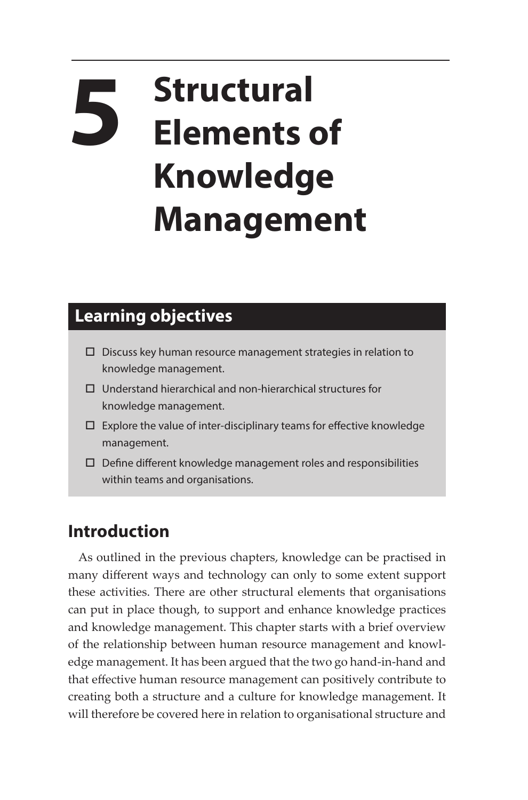## **5 Structural Elements of Knowledge Management**

## **Learning objectives**

- $\square$  Discuss key human resource management strategies in relation to knowledge management.
- $\Box$  Understand hierarchical and non-hierarchical structures for knowledge management.
- $\square$  Explore the value of inter-disciplinary teams for effective knowledge management.
- $\square$  Define different knowledge management roles and responsibilities within teams and organisations.

## **Introduction**

As outlined in the previous chapters, knowledge can be practised in many different ways and technology can only to some extent support these activities. There are other structural elements that organisations can put in place though, to support and enhance knowledge practices and knowledge management. This chapter starts with a brief overview of the relationship between human resource management and knowledge management. It has been argued that the two go hand-in-hand and that effective human resource management can positively contribute to creating both a structure and a culture for knowledge management. It will therefore be covered here in relation to organisational structure and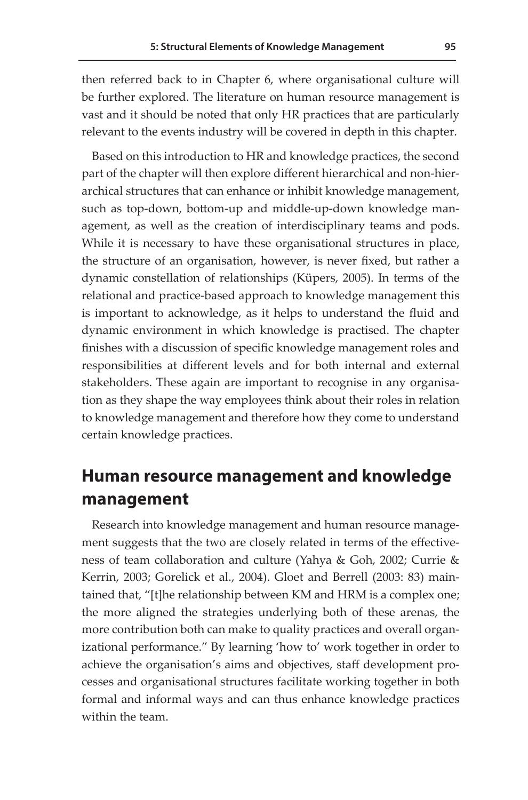then referred back to in Chapter 6, where organisational culture will be further explored. The literature on human resource management is vast and it should be noted that only HR practices that are particularly relevant to the events industry will be covered in depth in this chapter.

Based on this introduction to HR and knowledge practices, the second part of the chapter will then explore different hierarchical and non-hierarchical structures that can enhance or inhibit knowledge management, such as top-down, bottom-up and middle-up-down knowledge management, as well as the creation of interdisciplinary teams and pods. While it is necessary to have these organisational structures in place, the structure of an organisation, however, is never fixed, but rather a dynamic constellation of relationships (Küpers, 2005). In terms of the relational and practice-based approach to knowledge management this is important to acknowledge, as it helps to understand the fluid and dynamic environment in which knowledge is practised. The chapter finishes with a discussion of specific knowledge management roles and responsibilities at different levels and for both internal and external stakeholders. These again are important to recognise in any organisation as they shape the way employees think about their roles in relation to knowledge management and therefore how they come to understand certain knowledge practices.

## **Human resource management and knowledge management**

Research into knowledge management and human resource management suggests that the two are closely related in terms of the effectiveness of team collaboration and culture (Yahya & Goh, 2002; Currie & Kerrin, 2003; Gorelick et al., 2004). Gloet and Berrell (2003: 83) maintained that, "[t]he relationship between KM and HRM is a complex one; the more aligned the strategies underlying both of these arenas, the more contribution both can make to quality practices and overall organizational performance." By learning 'how to' work together in order to achieve the organisation's aims and objectives, staff development processes and organisational structures facilitate working together in both formal and informal ways and can thus enhance knowledge practices within the team.